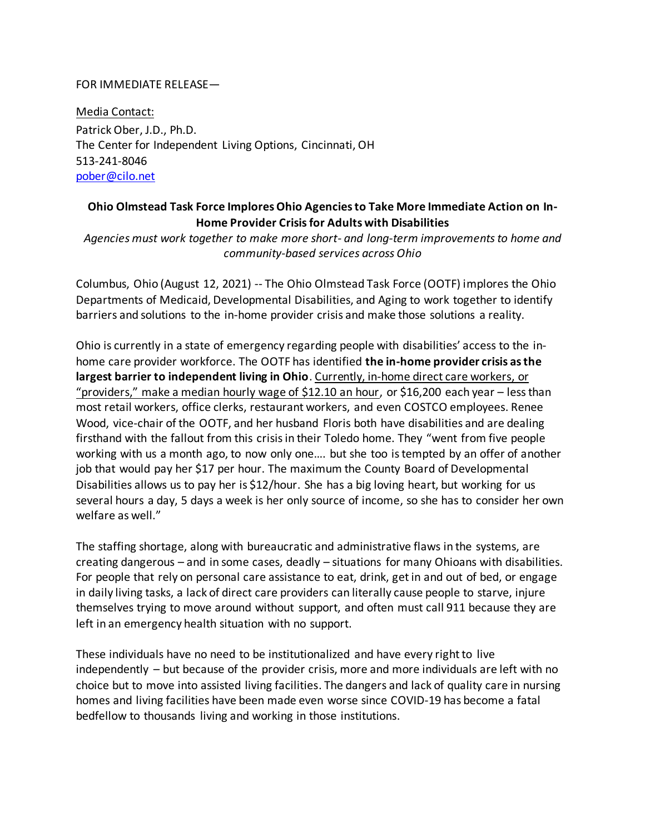## FOR IMMEDIATE RELEASE—

Media Contact: Patrick Ober, J.D., Ph.D. The Center for Independent Living Options, Cincinnati, OH 513-241-8046 [pober@cilo.net](mailto:pober@cilo.net)

## **Ohio Olmstead Task Force Implores Ohio Agencies to Take More Immediate Action on In-Home Provider Crisisfor Adults with Disabilities**

*Agencies must work together to make more short- and long-term improvements to home and community-based services across Ohio*

Columbus, Ohio (August 12, 2021) -- The Ohio Olmstead Task Force (OOTF) implores the Ohio Departments of Medicaid, Developmental Disabilities, and Aging to work together to identify barriers and solutions to the in-home provider crisis and make those solutions a reality.

Ohio is currently in a state of emergency regarding people with disabilities' access to the inhome care provider workforce. The OOTF has identified **the in-home provider crisis asthe largest barrier to independent living in Ohio**. Currently, in-home direct care workers, or "providers," make a median hourly wage of \$12.10 an hour, or \$16,200 each year – less than most retail workers, office clerks, restaurant workers, and even COSTCO employees. Renee Wood, vice-chair of the OOTF, and her husband Floris both have disabilities and are dealing firsthand with the fallout from this crisis in their Toledo home. They "went from five people working with us a month ago, to now only one…. but she too is tempted by an offer of another job that would pay her \$17 per hour. The maximum the County Board of Developmental Disabilities allows us to pay her is \$12/hour. She has a big loving heart, but working for us several hours a day, 5 days a week is her only source of income, so she has to consider her own welfare as well."

The staffing shortage, along with bureaucratic and administrative flaws in the systems, are creating dangerous – and in some cases, deadly – situations for many Ohioans with disabilities. For people that rely on personal care assistance to eat, drink, get in and out of bed, or engage in daily living tasks, a lack of direct care providers can literally cause people to starve, injure themselves trying to move around without support, and often must call 911 because they are left in an emergency health situation with no support.

These individuals have no need to be institutionalized and have every right to live independently – but because of the provider crisis, more and more individuals are left with no choice but to move into assisted living facilities. The dangers and lack of quality care in nursing homes and living facilities have been made even worse since COVID-19 has become a fatal bedfellow to thousands living and working in those institutions.